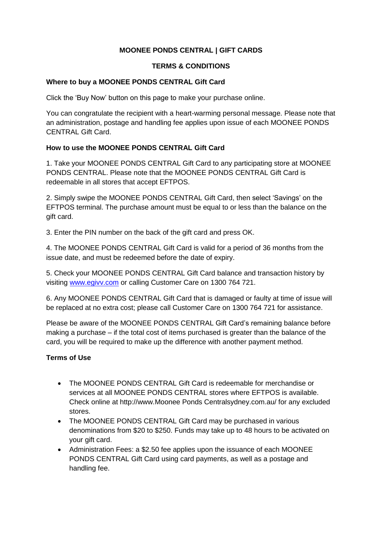# **MOONEE PONDS CENTRAL | GIFT CARDS**

#### **TERMS & CONDITIONS**

### **Where to buy a MOONEE PONDS CENTRAL Gift Card**

Click the 'Buy Now' button on this page to make your purchase online.

You can congratulate the recipient with a heart-warming personal message. Please note that an administration, postage and handling fee applies upon issue of each MOONEE PONDS CENTRAL Gift Card.

# **How to use the MOONEE PONDS CENTRAL Gift Card**

1. Take your MOONEE PONDS CENTRAL Gift Card to any participating store at MOONEE PONDS CENTRAL. Please note that the MOONEE PONDS CENTRAL Gift Card is redeemable in all stores that accept EFTPOS.

2. Simply swipe the MOONEE PONDS CENTRAL Gift Card, then select 'Savings' on the EFTPOS terminal. The purchase amount must be equal to or less than the balance on the gift card.

3. Enter the PIN number on the back of the gift card and press OK.

4. The MOONEE PONDS CENTRAL Gift Card is valid for a period of 36 months from the issue date, and must be redeemed before the date of expiry.

5. Check your MOONEE PONDS CENTRAL Gift Card balance and transaction history by visiting [www.egivv.com](http://www.egivv.com/) or calling Customer Care on 1300 764 721.

6. Any MOONEE PONDS CENTRAL Gift Card that is damaged or faulty at time of issue will be replaced at no extra cost; please call Customer Care on 1300 764 721 for assistance.

Please be aware of the MOONEE PONDS CENTRAL Gift Card's remaining balance before making a purchase – if the total cost of items purchased is greater than the balance of the card, you will be required to make up the difference with another payment method.

# **Terms of Use**

- The MOONEE PONDS CENTRAL Gift Card is redeemable for merchandise or services at all MOONEE PONDS CENTRAL stores where EFTPOS is available. Check online at http://www.Moonee Ponds Centralsydney.com.au/ for any excluded stores.
- The MOONEE PONDS CENTRAL Gift Card may be purchased in various denominations from \$20 to \$250. Funds may take up to 48 hours to be activated on your gift card.
- Administration Fees: a \$2.50 fee applies upon the issuance of each MOONEE PONDS CENTRAL Gift Card using card payments, as well as a postage and handling fee.